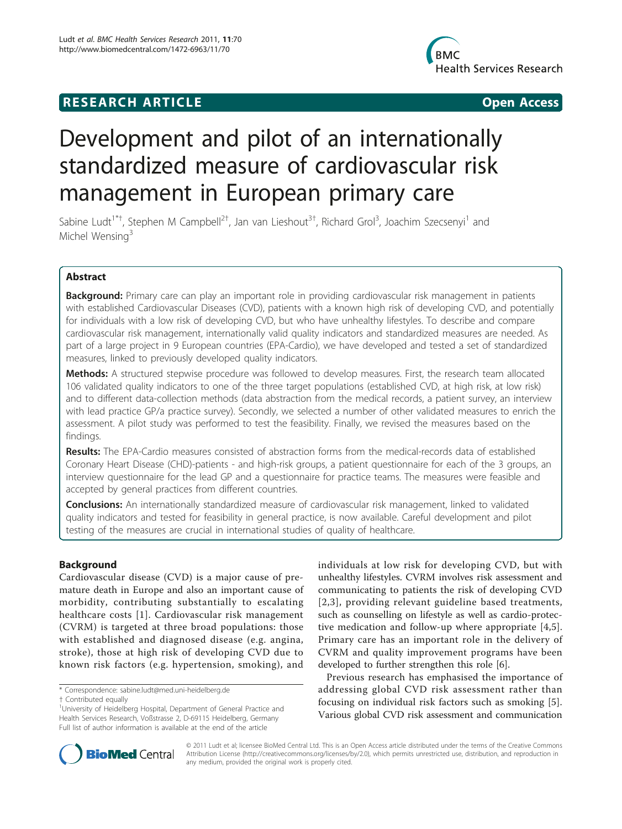# **RESEARCH ARTICLE Example 2014 CONSUMING ACCESS**



# Development and pilot of an internationally standardized measure of cardiovascular risk management in European primary care

Sabine Ludt<sup>1\*†</sup>, Stephen M Campbell<sup>2†</sup>, Jan van Lieshout<sup>3†</sup>, Richard Grol<sup>3</sup>, Joachim Szecsenyi<sup>1</sup> and Michel Wensing<sup>3</sup>

# Abstract

**Background:** Primary care can play an important role in providing cardiovascular risk management in patients with established Cardiovascular Diseases (CVD), patients with a known high risk of developing CVD, and potentially for individuals with a low risk of developing CVD, but who have unhealthy lifestyles. To describe and compare cardiovascular risk management, internationally valid quality indicators and standardized measures are needed. As part of a large project in 9 European countries (EPA-Cardio), we have developed and tested a set of standardized measures, linked to previously developed quality indicators.

Methods: A structured stepwise procedure was followed to develop measures. First, the research team allocated 106 validated quality indicators to one of the three target populations (established CVD, at high risk, at low risk) and to different data-collection methods (data abstraction from the medical records, a patient survey, an interview with lead practice GP/a practice survey). Secondly, we selected a number of other validated measures to enrich the assessment. A pilot study was performed to test the feasibility. Finally, we revised the measures based on the findings.

Results: The EPA-Cardio measures consisted of abstraction forms from the medical-records data of established Coronary Heart Disease (CHD)-patients - and high-risk groups, a patient questionnaire for each of the 3 groups, an interview questionnaire for the lead GP and a questionnaire for practice teams. The measures were feasible and accepted by general practices from different countries.

**Conclusions:** An internationally standardized measure of cardiovascular risk management, linked to validated quality indicators and tested for feasibility in general practice, is now available. Careful development and pilot testing of the measures are crucial in international studies of quality of healthcare.

## Background

Cardiovascular disease (CVD) is a major cause of premature death in Europe and also an important cause of morbidity, contributing substantially to escalating healthcare costs [[1\]](#page-8-0). Cardiovascular risk management (CVRM) is targeted at three broad populations: those with established and diagnosed disease (e.g. angina, stroke), those at high risk of developing CVD due to known risk factors (e.g. hypertension, smoking), and

\* Correspondence: [sabine.ludt@med.uni-heidelberg.de](mailto:sabine.ludt@med.uni-heidelberg.de)

† Contributed equally <sup>1</sup>

individuals at low risk for developing CVD, but with unhealthy lifestyles. CVRM involves risk assessment and communicating to patients the risk of developing CVD [[2,3](#page-8-0)], providing relevant guideline based treatments, such as counselling on lifestyle as well as cardio-protective medication and follow-up where appropriate [[4,5](#page-8-0)]. Primary care has an important role in the delivery of CVRM and quality improvement programs have been developed to further strengthen this role [\[6](#page-8-0)].

Previous research has emphasised the importance of addressing global CVD risk assessment rather than focusing on individual risk factors such as smoking [[5](#page-8-0)]. Various global CVD risk assessment and communication



© 2011 Ludt et al; licensee BioMed Central Ltd. This is an Open Access article distributed under the terms of the Creative Commons Attribution License [\(http://creativecommons.org/licenses/by/2.0](http://creativecommons.org/licenses/by/2.0)), which permits unrestricted use, distribution, and reproduction in any medium, provided the original work is properly cited.

<sup>&</sup>lt;sup>1</sup>University of Heidelberg Hospital, Department of General Practice and Health Services Research, Voßstrasse 2, D-69115 Heidelberg, Germany Full list of author information is available at the end of the article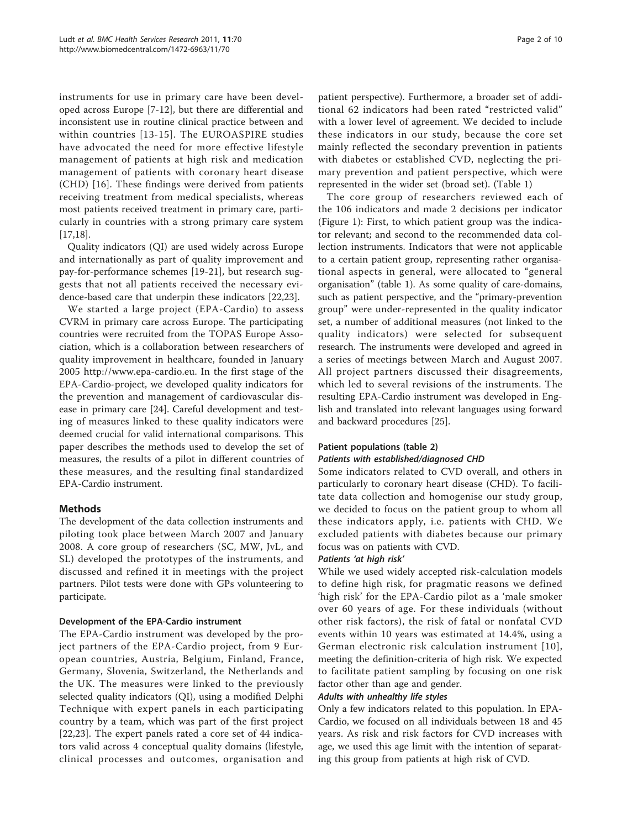instruments for use in primary care have been developed across Europe [\[7-12](#page-8-0)], but there are differential and inconsistent use in routine clinical practice between and within countries [[13-15\]](#page-8-0). The EUROASPIRE studies have advocated the need for more effective lifestyle management of patients at high risk and medication management of patients with coronary heart disease (CHD) [[16\]](#page-8-0). These findings were derived from patients receiving treatment from medical specialists, whereas most patients received treatment in primary care, particularly in countries with a strong primary care system [[17,18\]](#page-8-0).

Quality indicators (QI) are used widely across Europe and internationally as part of quality improvement and pay-for-performance schemes [\[19](#page-8-0)-[21\]](#page-8-0), but research suggests that not all patients received the necessary evidence-based care that underpin these indicators [\[22,23\]](#page-8-0).

We started a large project (EPA-Cardio) to assess CVRM in primary care across Europe. The participating countries were recruited from the TOPAS Europe Association, which is a collaboration between researchers of quality improvement in healthcare, founded in January 2005 [http://www.epa-cardio.eu.](http://www.epa-cardio.eu) In the first stage of the EPA-Cardio-project, we developed quality indicators for the prevention and management of cardiovascular disease in primary care [[24\]](#page-8-0). Careful development and testing of measures linked to these quality indicators were deemed crucial for valid international comparisons. This paper describes the methods used to develop the set of measures, the results of a pilot in different countries of these measures, and the resulting final standardized EPA-Cardio instrument.

# Methods

The development of the data collection instruments and piloting took place between March 2007 and January 2008. A core group of researchers (SC, MW, JvL, and SL) developed the prototypes of the instruments, and discussed and refined it in meetings with the project partners. Pilot tests were done with GPs volunteering to participate.

## Development of the EPA-Cardio instrument

The EPA-Cardio instrument was developed by the project partners of the EPA-Cardio project, from 9 European countries, Austria, Belgium, Finland, France, Germany, Slovenia, Switzerland, the Netherlands and the UK. The measures were linked to the previously selected quality indicators (QI), using a modified Delphi Technique with expert panels in each participating country by a team, which was part of the first project [[22,23\]](#page-8-0). The expert panels rated a core set of 44 indicators valid across 4 conceptual quality domains (lifestyle, clinical processes and outcomes, organisation and

patient perspective). Furthermore, a broader set of additional 62 indicators had been rated "restricted valid" with a lower level of agreement. We decided to include these indicators in our study, because the core set mainly reflected the secondary prevention in patients with diabetes or established CVD, neglecting the primary prevention and patient perspective, which were represented in the wider set (broad set). (Table [1\)](#page-2-0)

The core group of researchers reviewed each of the 106 indicators and made 2 decisions per indicator (Figure [1](#page-2-0)): First, to which patient group was the indicator relevant; and second to the recommended data collection instruments. Indicators that were not applicable to a certain patient group, representing rather organisational aspects in general, were allocated to "general organisation" (table [1](#page-2-0)). As some quality of care-domains, such as patient perspective, and the "primary-prevention group" were under-represented in the quality indicator set, a number of additional measures (not linked to the quality indicators) were selected for subsequent research. The instruments were developed and agreed in a series of meetings between March and August 2007. All project partners discussed their disagreements, which led to several revisions of the instruments. The resulting EPA-Cardio instrument was developed in English and translated into relevant languages using forward and backward procedures [\[25](#page-8-0)].

# Patient populations (table [2\)](#page-3-0)

## Patients with established/diagnosed CHD

Some indicators related to CVD overall, and others in particularly to coronary heart disease (CHD). To facilitate data collection and homogenise our study group, we decided to focus on the patient group to whom all these indicators apply, i.e. patients with CHD. We excluded patients with diabetes because our primary focus was on patients with CVD.

## Patients 'at high risk'

While we used widely accepted risk-calculation models to define high risk, for pragmatic reasons we defined 'high risk' for the EPA-Cardio pilot as a 'male smoker over 60 years of age. For these individuals (without other risk factors), the risk of fatal or nonfatal CVD events within 10 years was estimated at 14.4%, using a German electronic risk calculation instrument [[10\]](#page-8-0), meeting the definition-criteria of high risk. We expected to facilitate patient sampling by focusing on one risk factor other than age and gender.

## Adults with unhealthy life styles

Only a few indicators related to this population. In EPA-Cardio, we focused on all individuals between 18 and 45 years. As risk and risk factors for CVD increases with age, we used this age limit with the intention of separating this group from patients at high risk of CVD.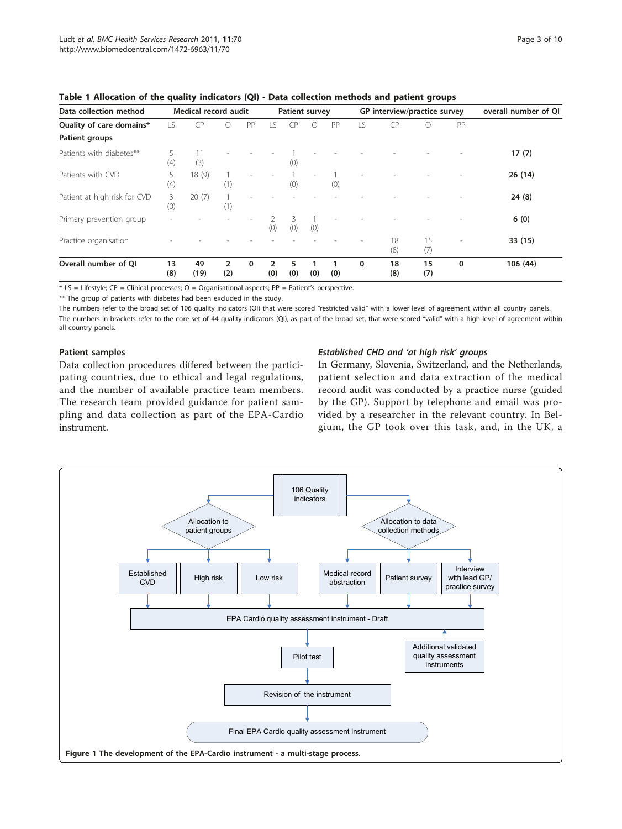|                              |                      |                |          |                          |                     | <u>concenten mourous and pauche groups</u> |                              |     |              |                      |           |                          |          |  |
|------------------------------|----------------------|----------------|----------|--------------------------|---------------------|--------------------------------------------|------------------------------|-----|--------------|----------------------|-----------|--------------------------|----------|--|
| Data collection method       | Medical record audit |                |          | Patient survey           |                     |                                            | GP interview/practice survey |     |              | overall number of QI |           |                          |          |  |
| Quality of care domains*     | T.S                  | C <sub>P</sub> | Ω        | PP                       | ıς                  | CP                                         |                              | PP  | $\varsigma$  | CP                   | Ω         | PP                       |          |  |
| Patient groups               |                      |                |          |                          |                     |                                            |                              |     |              |                      |           |                          |          |  |
| Patients with diabetes**     | (4)                  | 11<br>(3)      |          |                          |                     | (0)                                        |                              |     |              |                      |           |                          | 17(7)    |  |
| Patients with CVD            | 5<br>(4)             | 18(9)          | (1)      | $\overline{\phantom{a}}$ |                     | (0)                                        | $\sim$                       | (0) |              |                      |           |                          | 26(14)   |  |
| Patient at high risk for CVD | 3<br>(0)             | 20(7)          | (1)      |                          |                     |                                            |                              |     |              |                      |           |                          | 24(8)    |  |
| Primary prevention group     |                      |                |          |                          | (0)                 | 3<br>(0)                                   | (0)                          |     |              |                      |           |                          | 6(0)     |  |
| Practice organisation        |                      |                |          |                          |                     |                                            |                              |     |              | 18<br>(8)            | 15<br>(7) | $\overline{\phantom{a}}$ | 33 (15)  |  |
| Overall number of OI         | 13<br>(8)            | 49<br>(19)     | 2<br>(2) | 0                        | $\mathbf{2}$<br>(0) | 5<br>(0)                                   | (0)                          | (0) | $\mathbf{0}$ | 18<br>(8)            | 15<br>(7) | 0                        | 106 (44) |  |

<span id="page-2-0"></span>

|  |  | Table 1 Allocation of the quality indicators (QI) - Data collection methods and patient groups |  |  |  |  |  |  |  |  |
|--|--|------------------------------------------------------------------------------------------------|--|--|--|--|--|--|--|--|
|--|--|------------------------------------------------------------------------------------------------|--|--|--|--|--|--|--|--|

 $*$  LS = Lifestyle; CP = Clinical processes; O = Organisational aspects; PP = Patient's perspective.

\*\* The group of patients with diabetes had been excluded in the study.

The numbers refer to the broad set of 106 quality indicators (QI) that were scored "restricted valid" with a lower level of agreement within all country panels. The numbers in brackets refer to the core set of 44 quality indicators (QI), as part of the broad set, that were scored "valid" with a high level of agreement within all country panels.

#### Patient samples

## Established CHD and 'at high risk' groups

Data collection procedures differed between the participating countries, due to ethical and legal regulations, and the number of available practice team members. The research team provided guidance for patient sampling and data collection as part of the EPA-Cardio instrument.

In Germany, Slovenia, Switzerland, and the Netherlands, patient selection and data extraction of the medical record audit was conducted by a practice nurse (guided by the GP). Support by telephone and email was provided by a researcher in the relevant country. In Belgium, the GP took over this task, and, in the UK, a

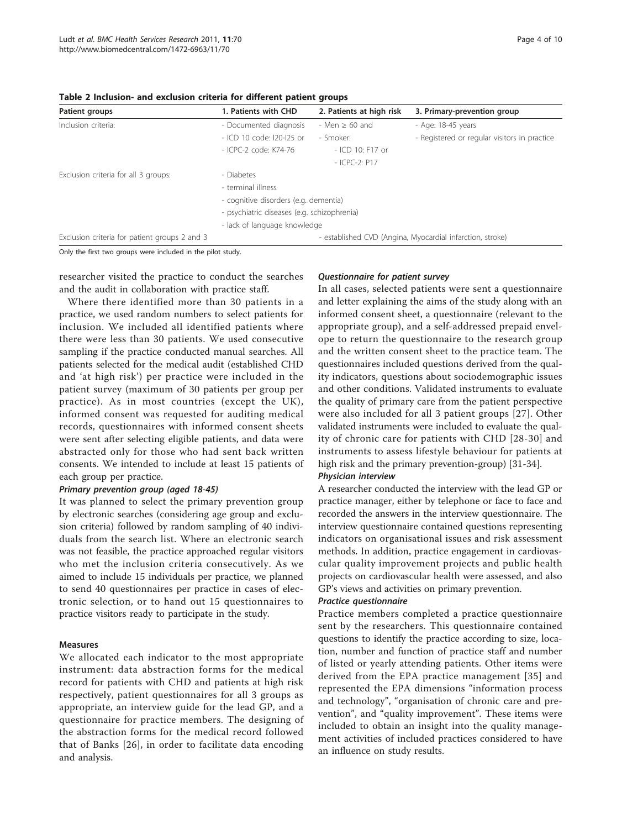<span id="page-3-0"></span>Table 2 Inclusion- and exclusion criteria for different patient groups

| Patient groups                                | 1. Patients with CHD                        | 2. Patients at high risk                                  | 3. Primary-prevention group                  |  |  |  |  |  |  |
|-----------------------------------------------|---------------------------------------------|-----------------------------------------------------------|----------------------------------------------|--|--|--|--|--|--|
| Inclusion criteria:                           | - Documented diagnosis                      | $-Men \geq 60$ and                                        | - Age: 18-45 years                           |  |  |  |  |  |  |
|                                               | - ICD 10 code: I20-I25 or                   | - Smoker:                                                 | - Registered or regular visitors in practice |  |  |  |  |  |  |
|                                               | - ICPC-2 code: K74-76                       | $-$ ICD 10: F17 or                                        |                                              |  |  |  |  |  |  |
|                                               |                                             | $-$ ICPC-2: P17                                           |                                              |  |  |  |  |  |  |
| Exclusion criteria for all 3 groups:          | - Diabetes                                  |                                                           |                                              |  |  |  |  |  |  |
|                                               | - terminal illness                          |                                                           |                                              |  |  |  |  |  |  |
|                                               | - cognitive disorders (e.g. dementia)       |                                                           |                                              |  |  |  |  |  |  |
|                                               | - psychiatric diseases (e.g. schizophrenia) |                                                           |                                              |  |  |  |  |  |  |
|                                               | - lack of language knowledge                |                                                           |                                              |  |  |  |  |  |  |
| Exclusion criteria for patient groups 2 and 3 |                                             | - established CVD (Angina, Myocardial infarction, stroke) |                                              |  |  |  |  |  |  |

Only the first two groups were included in the pilot study.

researcher visited the practice to conduct the searches and the audit in collaboration with practice staff.

Where there identified more than 30 patients in a practice, we used random numbers to select patients for inclusion. We included all identified patients where there were less than 30 patients. We used consecutive sampling if the practice conducted manual searches. All patients selected for the medical audit (established CHD and 'at high risk') per practice were included in the patient survey (maximum of 30 patients per group per practice). As in most countries (except the UK), informed consent was requested for auditing medical records, questionnaires with informed consent sheets were sent after selecting eligible patients, and data were abstracted only for those who had sent back written consents. We intended to include at least 15 patients of each group per practice.

#### Primary prevention group (aged 18-45)

It was planned to select the primary prevention group by electronic searches (considering age group and exclusion criteria) followed by random sampling of 40 individuals from the search list. Where an electronic search was not feasible, the practice approached regular visitors who met the inclusion criteria consecutively. As we aimed to include 15 individuals per practice, we planned to send 40 questionnaires per practice in cases of electronic selection, or to hand out 15 questionnaires to practice visitors ready to participate in the study.

#### Measures

We allocated each indicator to the most appropriate instrument: data abstraction forms for the medical record for patients with CHD and patients at high risk respectively, patient questionnaires for all 3 groups as appropriate, an interview guide for the lead GP, and a questionnaire for practice members. The designing of the abstraction forms for the medical record followed that of Banks [[26](#page-8-0)], in order to facilitate data encoding and analysis.

#### Questionnaire for patient survey

In all cases, selected patients were sent a questionnaire and letter explaining the aims of the study along with an informed consent sheet, a questionnaire (relevant to the appropriate group), and a self-addressed prepaid envelope to return the questionnaire to the research group and the written consent sheet to the practice team. The questionnaires included questions derived from the quality indicators, questions about sociodemographic issues and other conditions. Validated instruments to evaluate the quality of primary care from the patient perspective were also included for all 3 patient groups [[27](#page-8-0)]. Other validated instruments were included to evaluate the quality of chronic care for patients with CHD [[28](#page-8-0)-[30](#page-8-0)] and instruments to assess lifestyle behaviour for patients at high risk and the primary prevention-group) [[31-34\]](#page-8-0).

#### Physician interview

A researcher conducted the interview with the lead GP or practice manager, either by telephone or face to face and recorded the answers in the interview questionnaire. The interview questionnaire contained questions representing indicators on organisational issues and risk assessment methods. In addition, practice engagement in cardiovascular quality improvement projects and public health projects on cardiovascular health were assessed, and also GP's views and activities on primary prevention.

#### Practice questionnaire

Practice members completed a practice questionnaire sent by the researchers. This questionnaire contained questions to identify the practice according to size, location, number and function of practice staff and number of listed or yearly attending patients. Other items were derived from the EPA practice management [[35\]](#page-9-0) and represented the EPA dimensions "information process and technology", "organisation of chronic care and prevention", and "quality improvement". These items were included to obtain an insight into the quality management activities of included practices considered to have an influence on study results.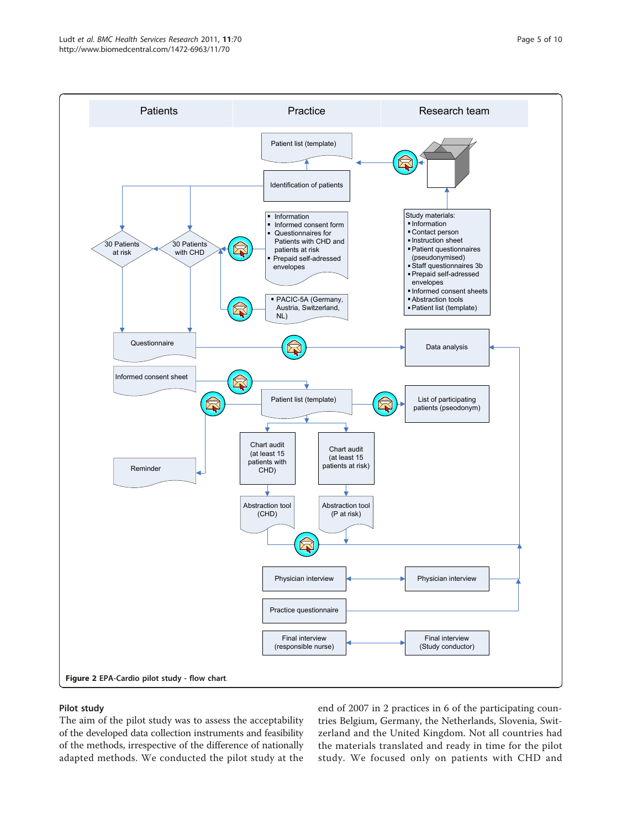<span id="page-4-0"></span>

# Pilot study

The aim of the pilot study was to assess the acceptability of the developed data collection instruments and feasibility of the methods, irrespective of the difference of nationally adapted methods. We conducted the pilot study at the

end of 2007 in 2 practices in 6 of the participating countries Belgium, Germany, the Netherlands, Slovenia, Switzerland and the United Kingdom. Not all countries had the materials translated and ready in time for the pilot study. We focused only on patients with CHD and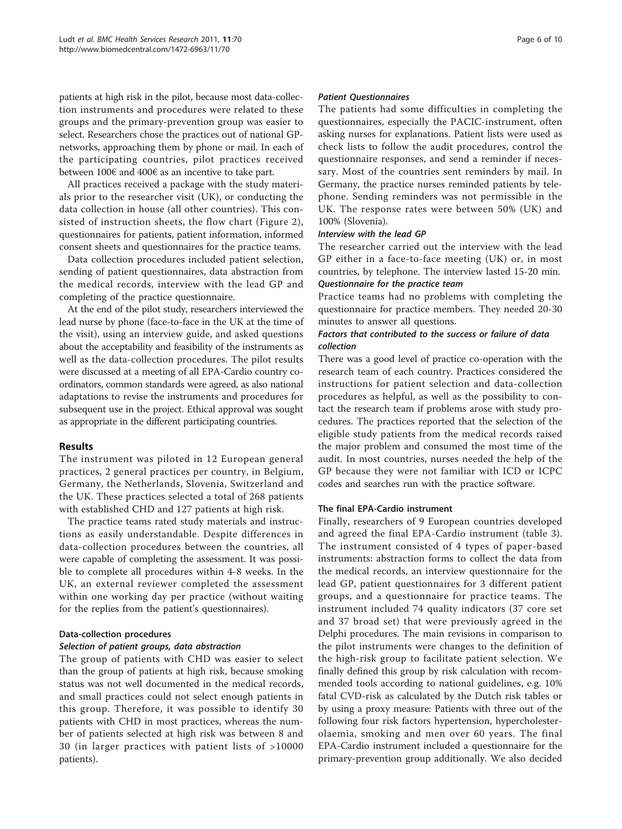patients at high risk in the pilot, because most data-collection instruments and procedures were related to these groups and the primary-prevention group was easier to select. Researchers chose the practices out of national GPnetworks, approaching them by phone or mail. In each of the participating countries, pilot practices received between 100€ and 400€ as an incentive to take part.

All practices received a package with the study materials prior to the researcher visit (UK), or conducting the data collection in house (all other countries). This consisted of instruction sheets, the flow chart (Figure [2\)](#page-4-0), questionnaires for patients, patient information, informed consent sheets and questionnaires for the practice teams.

Data collection procedures included patient selection, sending of patient questionnaires, data abstraction from the medical records, interview with the lead GP and completing of the practice questionnaire.

At the end of the pilot study, researchers interviewed the lead nurse by phone (face-to-face in the UK at the time of the visit), using an interview guide, and asked questions about the acceptability and feasibility of the instruments as well as the data-collection procedures. The pilot results were discussed at a meeting of all EPA-Cardio country coordinators, common standards were agreed, as also national adaptations to revise the instruments and procedures for subsequent use in the project. Ethical approval was sought as appropriate in the different participating countries.

## Results

The instrument was piloted in 12 European general practices, 2 general practices per country, in Belgium, Germany, the Netherlands, Slovenia, Switzerland and the UK. These practices selected a total of 268 patients with established CHD and 127 patients at high risk.

The practice teams rated study materials and instructions as easily understandable. Despite differences in data-collection procedures between the countries, all were capable of completing the assessment. It was possible to complete all procedures within 4-8 weeks. In the UK, an external reviewer completed the assessment within one working day per practice (without waiting for the replies from the patient's questionnaires).

## Data-collection procedures

## Selection of patient groups, data abstraction

The group of patients with CHD was easier to select than the group of patients at high risk, because smoking status was not well documented in the medical records, and small practices could not select enough patients in this group. Therefore, it was possible to identify 30 patients with CHD in most practices, whereas the number of patients selected at high risk was between 8 and 30 (in larger practices with patient lists of >10000 patients).

#### Patient Questionnaires

The patients had some difficulties in completing the questionnaires, especially the PACIC-instrument, often asking nurses for explanations. Patient lists were used as check lists to follow the audit procedures, control the questionnaire responses, and send a reminder if necessary. Most of the countries sent reminders by mail. In Germany, the practice nurses reminded patients by telephone. Sending reminders was not permissible in the UK. The response rates were between 50% (UK) and 100% (Slovenia).

# Interview with the lead GP

The researcher carried out the interview with the lead GP either in a face-to-face meeting (UK) or, in most countries, by telephone. The interview lasted 15-20 min. Questionnaire for the practice team

Practice teams had no problems with completing the questionnaire for practice members. They needed 20-30 minutes to answer all questions.

# Factors that contributed to the success or failure of data collection

There was a good level of practice co-operation with the research team of each country. Practices considered the instructions for patient selection and data-collection procedures as helpful, as well as the possibility to contact the research team if problems arose with study procedures. The practices reported that the selection of the eligible study patients from the medical records raised the major problem and consumed the most time of the audit. In most countries, nurses needed the help of the GP because they were not familiar with ICD or ICPC codes and searches run with the practice software.

# The final EPA-Cardio instrument

Finally, researchers of 9 European countries developed and agreed the final EPA-Cardio instrument (table [3](#page-6-0)). The instrument consisted of 4 types of paper-based instruments: abstraction forms to collect the data from the medical records, an interview questionnaire for the lead GP, patient questionnaires for 3 different patient groups, and a questionnaire for practice teams. The instrument included 74 quality indicators (37 core set and 37 broad set) that were previously agreed in the Delphi procedures. The main revisions in comparison to the pilot instruments were changes to the definition of the high-risk group to facilitate patient selection. We finally defined this group by risk calculation with recommended tools according to national guidelines, e.g. 10% fatal CVD-risk as calculated by the Dutch risk tables or by using a proxy measure: Patients with three out of the following four risk factors hypertension, hypercholesterolaemia, smoking and men over 60 years. The final EPA-Cardio instrument included a questionnaire for the primary-prevention group additionally. We also decided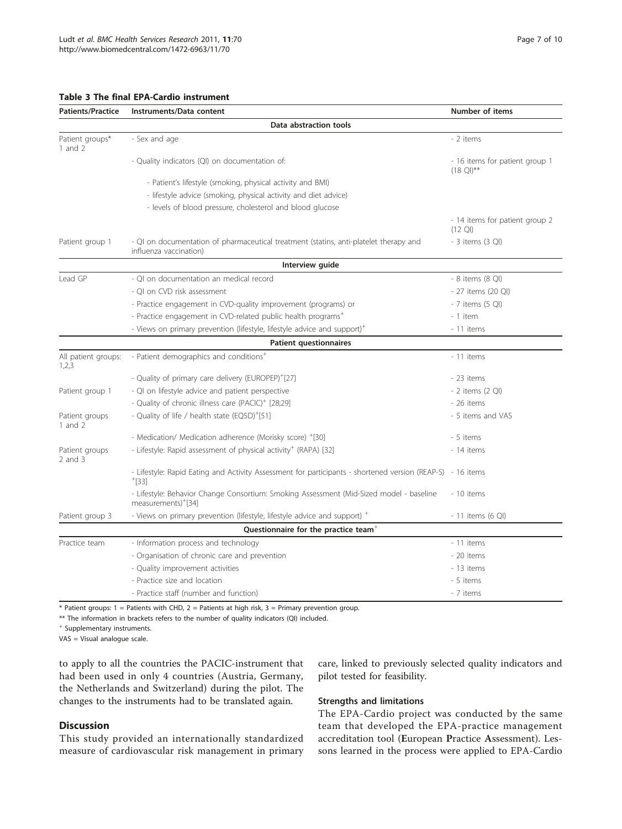#### <span id="page-6-0"></span>Table 3 The final EPA-Cardio instrument

| <b>Patients/Practice</b>      | Instruments/Data content                                                                                               | <b>Number of items</b>                                 |
|-------------------------------|------------------------------------------------------------------------------------------------------------------------|--------------------------------------------------------|
|                               | Data abstraction tools                                                                                                 |                                                        |
| Patient groups*<br>1 and $2$  | - Sex and age                                                                                                          | - 2 items                                              |
|                               | - Quality indicators (QI) on documentation of:                                                                         | - 16 items for patient group 1<br>$(18 \text{ QI})$ ** |
|                               | - Patient's lifestyle (smoking, physical activity and BMI)                                                             |                                                        |
|                               | - lifestyle advice (smoking, physical activity and diet advice)                                                        |                                                        |
|                               | - levels of blood pressure, cholesterol and blood glucose                                                              |                                                        |
|                               |                                                                                                                        | - 14 items for patient group 2<br>$(12 \text{ QI})$    |
| Patient group 1               | - QI on documentation of pharmaceutical treatment (statins, anti-platelet therapy and<br>influenza vaccination)        | $-3$ items (3 QI)                                      |
|                               | Interview guide                                                                                                        |                                                        |
| Lead GP                       | - QI on documentation an medical record                                                                                | - 8 items (8 QI)                                       |
|                               | - OI on CVD risk assessment                                                                                            | - 27 items (20 QI)                                     |
|                               | - Practice engagement in CVD-quality improvement (programs) or                                                         | - 7 items $(5 QI)$                                     |
|                               | - Practice engagement in CVD-related public health programs <sup>+</sup>                                               | - 1 item                                               |
|                               | - Views on primary prevention (lifestyle, lifestyle advice and support) <sup>+</sup>                                   | - 11 items                                             |
|                               | <b>Patient questionnaires</b>                                                                                          |                                                        |
| All patient groups:<br>1,2,3  | - Patient demographics and conditions <sup>+</sup>                                                                     | - 11 items                                             |
|                               | - Quality of primary care delivery (EUROPEP)+[27]                                                                      | - 23 items                                             |
| Patient group 1               | - QI on lifestyle advice and patient perspective                                                                       | $-2$ items (2 QI)                                      |
|                               | - Quality of chronic illness care (PACIC) <sup>+</sup> [28;29]                                                         | - 26 items                                             |
| Patient groups<br>1 and $2$   | - Quality of life / health state (EQ5D) <sup>+</sup> [51]                                                              | - 5 items and VAS                                      |
|                               | - Medication/ Medication adherence (Morisky score) <sup>+</sup> [30]                                                   | - 5 items                                              |
| Patient groups<br>$2$ and $3$ | - Lifestyle: Rapid assessment of physical activity <sup>+</sup> (RAPA) [32]                                            | - 14 items                                             |
|                               | - Lifestyle: Rapid Eating and Activity Assessment for participants - shortened version (REAP-S) - 16 items<br>$+$ [33] |                                                        |
|                               | - Lifestyle: Behavior Change Consortium: Smoking Assessment (Mid-Sized model - baseline<br>measurements)+[34]          | - 10 items                                             |
| Patient group 3               | - Views on primary prevention (lifestyle, lifestyle advice and support) +                                              | $-11$ items (6 QI)                                     |
|                               | Questionnaire for the practice team $+$                                                                                |                                                        |
| Practice team                 | - Information process and technology                                                                                   | - 11 items                                             |
|                               | - Organisation of chronic care and prevention                                                                          | - 20 items                                             |
|                               | - Quality improvement activities                                                                                       | - 13 items                                             |
|                               | - Practice size and location                                                                                           | - 5 items                                              |
|                               | - Practice staff (number and function)                                                                                 | - 7 items                                              |

 $*$  Patient groups: 1 = Patients with CHD, 2 = Patients at high risk, 3 = Primary prevention group.

\*\* The information in brackets refers to the number of quality indicators (QI) included.

<sup>+</sup> Supplementary instruments.

VAS = Visual analogue scale.

to apply to all the countries the PACIC-instrument that had been used in only 4 countries (Austria, Germany, the Netherlands and Switzerland) during the pilot. The changes to the instruments had to be translated again.

#### **Discussion**

This study provided an internationally standardized measure of cardiovascular risk management in primary

care, linked to previously selected quality indicators and pilot tested for feasibility.

## Strengths and limitations

The EPA-Cardio project was conducted by the same team that developed the EPA-practice management accreditation tool (European Practice Assessment). Lessons learned in the process were applied to EPA-Cardio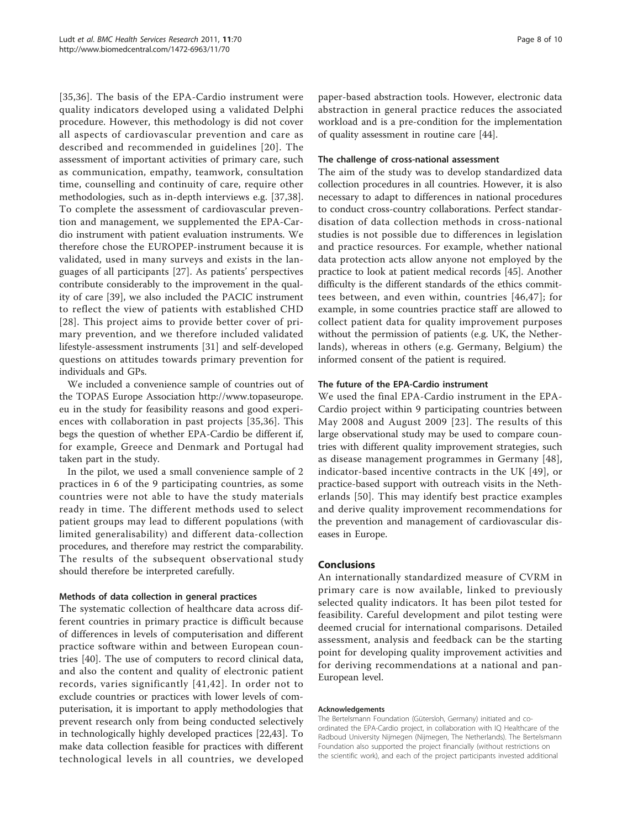[[35](#page-9-0),[36\]](#page-9-0). The basis of the EPA-Cardio instrument were quality indicators developed using a validated Delphi procedure. However, this methodology is did not cover all aspects of cardiovascular prevention and care as described and recommended in guidelines [[20\]](#page-8-0). The assessment of important activities of primary care, such as communication, empathy, teamwork, consultation time, counselling and continuity of care, require other methodologies, such as in-depth interviews e.g. [[37,38](#page-9-0)]. To complete the assessment of cardiovascular prevention and management, we supplemented the EPA-Cardio instrument with patient evaluation instruments. We therefore chose the EUROPEP-instrument because it is validated, used in many surveys and exists in the languages of all participants [\[27](#page-8-0)]. As patients' perspectives contribute considerably to the improvement in the quality of care [\[39](#page-9-0)], we also included the PACIC instrument to reflect the view of patients with established CHD [[28](#page-8-0)]. This project aims to provide better cover of primary prevention, and we therefore included validated lifestyle-assessment instruments [[31\]](#page-8-0) and self-developed questions on attitudes towards primary prevention for individuals and GPs.

We included a convenience sample of countries out of the TOPAS Europe Association [http://www.topaseurope.](http://www.topaseurope.eu) [eu](http://www.topaseurope.eu) in the study for feasibility reasons and good experiences with collaboration in past projects [[35,36](#page-9-0)]. This begs the question of whether EPA-Cardio be different if, for example, Greece and Denmark and Portugal had taken part in the study.

In the pilot, we used a small convenience sample of 2 practices in 6 of the 9 participating countries, as some countries were not able to have the study materials ready in time. The different methods used to select patient groups may lead to different populations (with limited generalisability) and different data-collection procedures, and therefore may restrict the comparability. The results of the subsequent observational study should therefore be interpreted carefully.

## Methods of data collection in general practices

The systematic collection of healthcare data across different countries in primary practice is difficult because of differences in levels of computerisation and different practice software within and between European countries [\[40](#page-9-0)]. The use of computers to record clinical data, and also the content and quality of electronic patient records, varies significantly [[41,42\]](#page-9-0). In order not to exclude countries or practices with lower levels of computerisation, it is important to apply methodologies that prevent research only from being conducted selectively in technologically highly developed practices [\[22](#page-8-0)[,43](#page-9-0)]. To make data collection feasible for practices with different technological levels in all countries, we developed

paper-based abstraction tools. However, electronic data abstraction in general practice reduces the associated workload and is a pre-condition for the implementation of quality assessment in routine care [[44\]](#page-9-0).

#### The challenge of cross-national assessment

The aim of the study was to develop standardized data collection procedures in all countries. However, it is also necessary to adapt to differences in national procedures to conduct cross-country collaborations. Perfect standardisation of data collection methods in cross-national studies is not possible due to differences in legislation and practice resources. For example, whether national data protection acts allow anyone not employed by the practice to look at patient medical records [\[45](#page-9-0)]. Another difficulty is the different standards of the ethics committees between, and even within, countries [[46,47\]](#page-9-0); for example, in some countries practice staff are allowed to collect patient data for quality improvement purposes without the permission of patients (e.g. UK, the Netherlands), whereas in others (e.g. Germany, Belgium) the informed consent of the patient is required.

#### The future of the EPA-Cardio instrument

We used the final EPA-Cardio instrument in the EPA-Cardio project within 9 participating countries between May 2008 and August 2009 [[23](#page-8-0)]. The results of this large observational study may be used to compare countries with different quality improvement strategies, such as disease management programmes in Germany [[48](#page-9-0)], indicator-based incentive contracts in the UK [[49](#page-9-0)], or practice-based support with outreach visits in the Netherlands [\[50\]](#page-9-0). This may identify best practice examples and derive quality improvement recommendations for the prevention and management of cardiovascular diseases in Europe.

## Conclusions

An internationally standardized measure of CVRM in primary care is now available, linked to previously selected quality indicators. It has been pilot tested for feasibility. Careful development and pilot testing were deemed crucial for international comparisons. Detailed assessment, analysis and feedback can be the starting point for developing quality improvement activities and for deriving recommendations at a national and pan-European level.

#### Acknowledgements

The Bertelsmann Foundation (Gütersloh, Germany) initiated and coordinated the EPA-Cardio project, in collaboration with IQ Healthcare of the Radboud University Nijmegen (Nijmegen, The Netherlands). The Bertelsmann Foundation also supported the project financially (without restrictions on the scientific work), and each of the project participants invested additional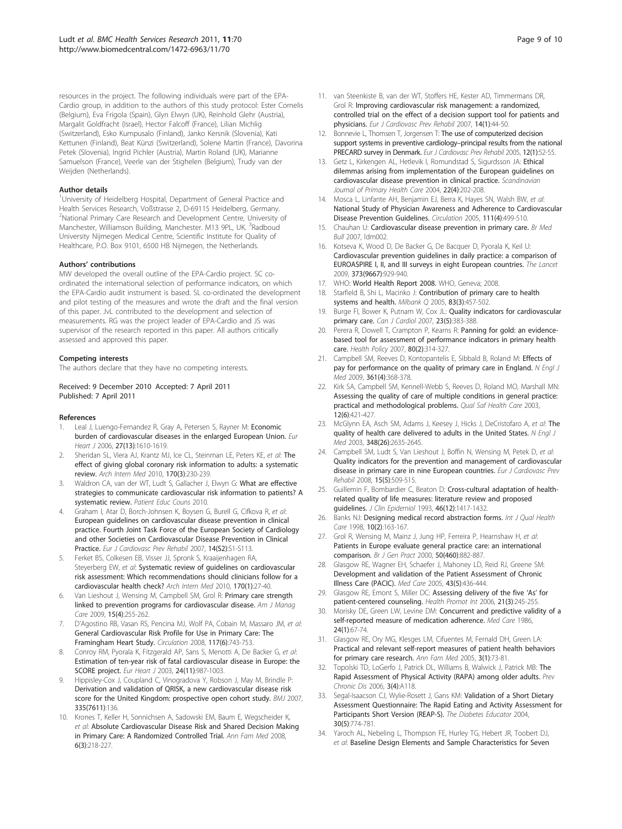<span id="page-8-0"></span>resources in the project. The following individuals were part of the EPA-Cardio group, in addition to the authors of this study protocol: Ester Cornelis (Belgium), Eva Frigola (Spain), Glyn Elwyn (UK), Reinhold Glehr (Austria), Margalit Goldfracht (Israel), Hector Falcoff (France), Lilian Michlig (Switzerland), Esko Kumpusalo (Finland), Janko Kersnik (Slovenia), Kati Kettunen (Finland), Beat Künzi (Switzerland), Solene Martin (France), Davorina Petek (Slovenia), Ingrid Pichler (Austria), Martin Roland (UK), Marianne Samuelson (France), Veerle van der Stighelen (Belgium), Trudy van der Weijden (Netherlands).

#### Author details

<sup>1</sup>University of Heidelberg Hospital, Department of General Practice and Health Services Research, Voßstrasse 2, D-69115 Heidelberg, Germany. <sup>2</sup>National Primary Care Research and Development Centre, University of Manchester, Williamson Building, Manchester. M13 9PL, UK. <sup>3</sup>Radboud University Nijmegen Medical Centre, Scientific Institute for Quality of Healthcare, P.O. Box 9101, 6500 HB Nijmegen, the Netherlands.

#### Authors' contributions

MW developed the overall outline of the EPA-Cardio project. SC coordinated the international selection of performance indicators, on which the EPA-Cardio audit instrument is based. SL co-ordinated the development and pilot testing of the measures and wrote the draft and the final version of this paper. JvL contributed to the development and selection of measurements. RG was the project leader of EPA-Cardio and JS was supervisor of the research reported in this paper. All authors critically assessed and approved this paper.

#### Competing interests

The authors declare that they have no competing interests.

Received: 9 December 2010 Accepted: 7 April 2011 Published: 7 April 2011

#### References

- 1. Leal J, Luengo-Fernandez R, Gray A, Petersen S, Rayner M: [Economic](http://www.ncbi.nlm.nih.gov/pubmed/16495286?dopt=Abstract) [burden of cardiovascular diseases in the enlarged European Union.](http://www.ncbi.nlm.nih.gov/pubmed/16495286?dopt=Abstract) Eur Heart J 2006, 27(13):1610-1619.
- 2. Sheridan SL, Viera AJ, Krantz MJ, Ice CL, Steinman LE, Peters KE, et al: [The](http://www.ncbi.nlm.nih.gov/pubmed/20142567?dopt=Abstract) [effect of giving global coronary risk information to adults: a systematic](http://www.ncbi.nlm.nih.gov/pubmed/20142567?dopt=Abstract) [review.](http://www.ncbi.nlm.nih.gov/pubmed/20142567?dopt=Abstract) Arch Intern Med 2010, 170(3):230-239.
- Waldron CA, van der WT, Ludt S, Gallacher J, Elwyn G: [What are effective](http://www.ncbi.nlm.nih.gov/pubmed/20471766?dopt=Abstract) [strategies to communicate cardiovascular risk information to patients? A](http://www.ncbi.nlm.nih.gov/pubmed/20471766?dopt=Abstract) [systematic review.](http://www.ncbi.nlm.nih.gov/pubmed/20471766?dopt=Abstract) Patient Educ Couns 2010.
- 4. Graham I, Atar D, Borch-Johnsen K, Boysen G, Burell G, Cifkova R, et al: [European guidelines on cardiovascular disease prevention in clinical](http://www.ncbi.nlm.nih.gov/pubmed/17726407?dopt=Abstract) [practice. Fourth Joint Task Force of the European Society of Cardiology](http://www.ncbi.nlm.nih.gov/pubmed/17726407?dopt=Abstract) [and other Societies on Cardiovascular Disease Prevention in Clinical](http://www.ncbi.nlm.nih.gov/pubmed/17726407?dopt=Abstract) [Practice.](http://www.ncbi.nlm.nih.gov/pubmed/17726407?dopt=Abstract) Eur J Cardiovasc Prev Rehabil 2007, 14(S2):S1-S113.
- 5. Ferket BS, Colkesen EB, Visser JJ, Spronk S, Kraaijenhagen RA, Steyerberg EW, et al: [Systematic review of guidelines on cardiovascular](http://www.ncbi.nlm.nih.gov/pubmed/20065196?dopt=Abstract) [risk assessment: Which recommendations should clinicians follow for a](http://www.ncbi.nlm.nih.gov/pubmed/20065196?dopt=Abstract) [cardiovascular health check?](http://www.ncbi.nlm.nih.gov/pubmed/20065196?dopt=Abstract) Arch Intern Med 2010, 170(1):27-40.
- 6. Van Lieshout J, Wensing M, Campbell SM, Grol R: [Primary care strength](http://www.ncbi.nlm.nih.gov/pubmed/19355798?dopt=Abstract) [linked to prevention programs for cardiovascular disease.](http://www.ncbi.nlm.nih.gov/pubmed/19355798?dopt=Abstract) Am J Manag Care 2009, 15(4):255-262.
- 7. D'Agostino RB, Vasan RS, Pencina MJ, Wolf PA, Cobain M, Massaro JM, et al: [General Cardiovascular Risk Profile for Use in Primary Care: The](http://www.ncbi.nlm.nih.gov/pubmed/18212285?dopt=Abstract) [Framingham Heart Study.](http://www.ncbi.nlm.nih.gov/pubmed/18212285?dopt=Abstract) Circulation 2008, 117(6):743-753.
- Conroy RM, Pyorala K, Fitzgerald AP, Sans S, Menotti A, De Backer G, et al: [Estimation of ten-year risk of fatal cardiovascular disease in Europe: the](http://www.ncbi.nlm.nih.gov/pubmed/12788299?dopt=Abstract) [SCORE project.](http://www.ncbi.nlm.nih.gov/pubmed/12788299?dopt=Abstract) Eur Heart J 2003, 24(11):987-1003.
- Hippisley-Cox J, Coupland C, Vinogradova Y, Robson J, May M, Brindle P: [Derivation and validation of QRISK, a new cardiovascular disease risk](http://www.ncbi.nlm.nih.gov/pubmed/17615182?dopt=Abstract) [score for the United Kingdom: prospective open cohort study.](http://www.ncbi.nlm.nih.gov/pubmed/17615182?dopt=Abstract) BMJ 2007, 335(7611):136.
- 10. Krones T, Keller H, Sonnichsen A, Sadowski EM, Baum E, Wegscheider K, et al: [Absolute Cardiovascular Disease Risk and Shared Decision Making](http://www.ncbi.nlm.nih.gov/pubmed/18474884?dopt=Abstract) [in Primary Care: A Randomized Controlled Trial.](http://www.ncbi.nlm.nih.gov/pubmed/18474884?dopt=Abstract) Ann Fam Med 2008, 6(3):218-227.
- 11. van Steenkiste B, van der WT, Stoffers HE, Kester AD, Timmermans DR, Grol R: [Improving cardiovascular risk management: a randomized,](http://www.ncbi.nlm.nih.gov/pubmed/17301626?dopt=Abstract) [controlled trial on the effect of a decision support tool for patients and](http://www.ncbi.nlm.nih.gov/pubmed/17301626?dopt=Abstract) [physicians.](http://www.ncbi.nlm.nih.gov/pubmed/17301626?dopt=Abstract) Eur J Cardiovasc Prev Rehabil 2007, 14(1):44-50.
- 12. Bonnevie L, Thomsen T, Jorgensen T: [The use of computerized decision](http://www.ncbi.nlm.nih.gov/pubmed/15703506?dopt=Abstract) [support systems in preventive cardiology](http://www.ncbi.nlm.nih.gov/pubmed/15703506?dopt=Abstract)–principal results from the national [PRECARD survey in Denmark.](http://www.ncbi.nlm.nih.gov/pubmed/15703506?dopt=Abstract) Eur J Cardiovasc Prev Rehabil 2005, 12(1):52-55.
- 13. Getz L, Kirkengen AL, Hetlevik I, Romundstad S, Sigurdsson JA: [Ethical](http://www.ncbi.nlm.nih.gov/pubmed/15765634?dopt=Abstract) [dilemmas arising from implementation of the European guidelines on](http://www.ncbi.nlm.nih.gov/pubmed/15765634?dopt=Abstract) [cardiovascular disease prevention in clinical practice.](http://www.ncbi.nlm.nih.gov/pubmed/15765634?dopt=Abstract) Scandinavian Journal of Primary Health Care 2004, 22(4):202-208.
- 14. Mosca L, Linfante AH, Benjamin EJ, Berra K, Hayes SN, Walsh BW, et al: [National Study of Physician Awareness and Adherence to Cardiovascular](http://www.ncbi.nlm.nih.gov/pubmed/15687140?dopt=Abstract) [Disease Prevention Guidelines.](http://www.ncbi.nlm.nih.gov/pubmed/15687140?dopt=Abstract) Circulation 2005, 111(4):499-510.
- 15. Chauhan U: [Cardiovascular disease prevention in primary care.](http://www.ncbi.nlm.nih.gov/pubmed/17339273?dopt=Abstract) Br Med Bull 2007, ldm002.
- 16. Kotseva K, Wood D, De Backer G, De Bacquer D, Pyorala K, Keil U: Cardiovascular prevention guidelines in daily practice: a comparison of EUROASPIRE I, II, and III surveys in eight European countries. The Lancet 2009, 373(9667):929-940.
- 17. WHO: World Health Report 2008. WHO, Geneva; 2008.
- 18. Starfield B, Shi L, Macinko J: [Contribution of primary care to health](http://www.ncbi.nlm.nih.gov/pubmed/16202000?dopt=Abstract) [systems and health.](http://www.ncbi.nlm.nih.gov/pubmed/16202000?dopt=Abstract) Milbank Q 2005, 83(3):457-502.
- 19. Burge FI, Bower K, Putnam W, Cox JL: [Quality indicators for cardiovascular](http://www.ncbi.nlm.nih.gov/pubmed/17440644?dopt=Abstract) [primary care.](http://www.ncbi.nlm.nih.gov/pubmed/17440644?dopt=Abstract) Can J Cardiol 2007, 23(5):383-388.
- 20. Perera R, Dowell T, Crampton P, Kearns R: [Panning for gold: an evidence](http://www.ncbi.nlm.nih.gov/pubmed/16678295?dopt=Abstract)[based tool for assessment of performance indicators in primary health](http://www.ncbi.nlm.nih.gov/pubmed/16678295?dopt=Abstract) [care.](http://www.ncbi.nlm.nih.gov/pubmed/16678295?dopt=Abstract) Health Policy 2007, 80(2):314-327.
- 21. Campbell SM, Reeves D, Kontopantelis E, Sibbald B, Roland M: [Effects of](http://www.ncbi.nlm.nih.gov/pubmed/19625717?dopt=Abstract) [pay for performance on the quality of primary care in England.](http://www.ncbi.nlm.nih.gov/pubmed/19625717?dopt=Abstract) N Engl J Med 2009, 361(4):368-378.
- 22. Kirk SA, Campbell SM, Kennell-Webb S, Reeves D, Roland MO, Marshall MN: [Assessing the quality of care of multiple conditions in general practice:](http://www.ncbi.nlm.nih.gov/pubmed/14645757?dopt=Abstract) [practical and methodological problems.](http://www.ncbi.nlm.nih.gov/pubmed/14645757?dopt=Abstract) Qual Saf Health Care 2003, 12(6):421-427.
- 23. McGlynn EA, Asch SM, Adams J, Keesey J, Hicks J, DeCristofaro A, et al: [The](http://www.ncbi.nlm.nih.gov/pubmed/12826639?dopt=Abstract) [quality of health care delivered to adults in the United States.](http://www.ncbi.nlm.nih.gov/pubmed/12826639?dopt=Abstract) N Engl J Med 2003, 348(26):2635-2645.
- 24. Campbell SM, Ludt S, Van Lieshout J, Boffin N, Wensing M, Petek D, et al: [Quality indicators for the prevention and management of cardiovascular](http://www.ncbi.nlm.nih.gov/pubmed/18695594?dopt=Abstract) [disease in primary care in nine European countries.](http://www.ncbi.nlm.nih.gov/pubmed/18695594?dopt=Abstract) Eur J Cardiovasc Prev Rehabil 2008, 15(5):509-515.
- 25. Guillemin F, Bombardier C, Beaton D: [Cross-cultural adaptation of health](http://www.ncbi.nlm.nih.gov/pubmed/8263569?dopt=Abstract)[related quality of life measures: literature review and proposed](http://www.ncbi.nlm.nih.gov/pubmed/8263569?dopt=Abstract) [guidelines.](http://www.ncbi.nlm.nih.gov/pubmed/8263569?dopt=Abstract) J Clin Epidemiol 1993, 46(12):1417-1432.
- 26. Banks NJ: [Designing medical record abstraction forms.](http://www.ncbi.nlm.nih.gov/pubmed/9690890?dopt=Abstract) Int J Qual Health Care 1998, 10(2):163-167.
- 27. Grol R, Wensing M, Mainz J, Jung HP, Ferreira P, Hearnshaw H, et al: [Patients in Europe evaluate general practice care: an international](http://www.ncbi.nlm.nih.gov/pubmed/11141874?dopt=Abstract) [comparison.](http://www.ncbi.nlm.nih.gov/pubmed/11141874?dopt=Abstract) Br J Gen Pract 2000, 50(460):882-887.
- 28. Glasgow RE, Wagner EH, Schaefer J, Mahoney LD, Reid RJ, Greene SM: [Development and validation of the Patient Assessment of Chronic](http://www.ncbi.nlm.nih.gov/pubmed/15838407?dopt=Abstract) [Illness Care \(PACIC\).](http://www.ncbi.nlm.nih.gov/pubmed/15838407?dopt=Abstract) Med Care 2005, 43(5):436-444.
- 29. Glasgow RE, Emont S, Miller DC: [Assessing delivery of the five](http://www.ncbi.nlm.nih.gov/pubmed/16751630?dopt=Abstract) 'As' for [patient-centered counseling.](http://www.ncbi.nlm.nih.gov/pubmed/16751630?dopt=Abstract) Health Promot Int 2006, 21(3):245-255.
- 30. Morisky DE, Green LW, Levine DM: [Concurrent and predictive validity of a](http://www.ncbi.nlm.nih.gov/pubmed/3945130?dopt=Abstract) [self-reported measure of medication adherence.](http://www.ncbi.nlm.nih.gov/pubmed/3945130?dopt=Abstract) Med Care 1986, 24(1):67-74.
- 31. Glasgow RE, Ory MG, Klesges LM, Cifuentes M, Fernald DH, Green LA: [Practical and relevant self-report measures of patient health behaviors](http://www.ncbi.nlm.nih.gov/pubmed/15671195?dopt=Abstract) [for primary care research.](http://www.ncbi.nlm.nih.gov/pubmed/15671195?dopt=Abstract) Ann Fam Med 2005, 3(1):73-81.
- 32. Topolski TD, LoGerfo J, Patrick DL, Williams B, Walwick J, Patrick MB: [The](http://www.ncbi.nlm.nih.gov/pubmed/16978493?dopt=Abstract) [Rapid Assessment of Physical Activity \(RAPA\) among older adults.](http://www.ncbi.nlm.nih.gov/pubmed/16978493?dopt=Abstract) Prev Chronic Dis 2006, 3(4):A118.
- 33. Segal-Isaacson CJ, Wylie-Rosett J, Gans KM: [Validation of a Short Dietary](http://www.ncbi.nlm.nih.gov/pubmed/15510530?dopt=Abstract) [Assessment Questionnaire: The Rapid Eating and Activity Assessment for](http://www.ncbi.nlm.nih.gov/pubmed/15510530?dopt=Abstract) [Participants Short Version \(REAP-S\).](http://www.ncbi.nlm.nih.gov/pubmed/15510530?dopt=Abstract) The Diabetes Educator 2004, 30(5):774-781.
- 34. Yaroch AL, Nebeling L, Thompson FE, Hurley TG, Hebert JR, Toobert DJ, et al: [Baseline Design Elements and Sample Characteristics for Seven](http://www.ncbi.nlm.nih.gov/pubmed/18156423?dopt=Abstract)